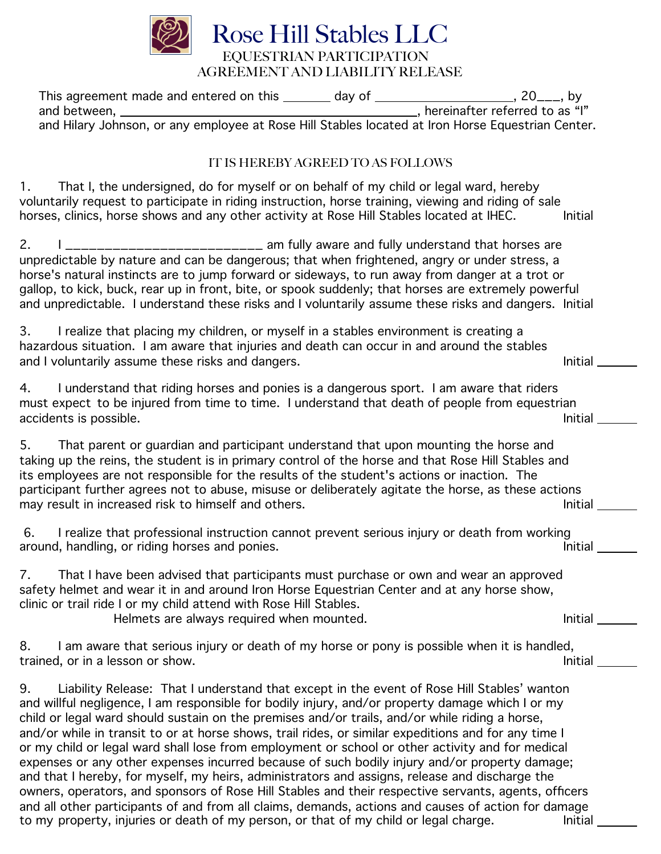

| IT IS HEREBY AGREED TO AS FOLLOWS                                                                                                                                                                                                                                                                                                                                                                                                                                                                                                                                                                                                                                                                                                                                                                                                                                                                                                                                                                                            |                |
|------------------------------------------------------------------------------------------------------------------------------------------------------------------------------------------------------------------------------------------------------------------------------------------------------------------------------------------------------------------------------------------------------------------------------------------------------------------------------------------------------------------------------------------------------------------------------------------------------------------------------------------------------------------------------------------------------------------------------------------------------------------------------------------------------------------------------------------------------------------------------------------------------------------------------------------------------------------------------------------------------------------------------|----------------|
| That I, the undersigned, do for myself or on behalf of my child or legal ward, hereby<br>$1_{\cdot}$<br>voluntarily request to participate in riding instruction, horse training, viewing and riding of sale<br>horses, clinics, horse shows and any other activity at Rose Hill Stables located at IHEC.                                                                                                                                                                                                                                                                                                                                                                                                                                                                                                                                                                                                                                                                                                                    | Initial        |
| 2.<br>____________________ am fully aware and fully understand that horses are<br>unpredictable by nature and can be dangerous; that when frightened, angry or under stress, a<br>horse's natural instincts are to jump forward or sideways, to run away from danger at a trot or<br>gallop, to kick, buck, rear up in front, bite, or spook suddenly; that horses are extremely powerful<br>and unpredictable. I understand these risks and I voluntarily assume these risks and dangers. Initial                                                                                                                                                                                                                                                                                                                                                                                                                                                                                                                           |                |
| 3.<br>I realize that placing my children, or myself in a stables environment is creating a<br>hazardous situation. I am aware that injuries and death can occur in and around the stables<br>and I voluntarily assume these risks and dangers.                                                                                                                                                                                                                                                                                                                                                                                                                                                                                                                                                                                                                                                                                                                                                                               | <b>Initial</b> |
| I understand that riding horses and ponies is a dangerous sport. I am aware that riders<br>4.<br>must expect to be injured from time to time. I understand that death of people from equestrian<br>accidents is possible.                                                                                                                                                                                                                                                                                                                                                                                                                                                                                                                                                                                                                                                                                                                                                                                                    | <b>Initial</b> |
| That parent or guardian and participant understand that upon mounting the horse and<br>5.<br>taking up the reins, the student is in primary control of the horse and that Rose Hill Stables and<br>its employees are not responsible for the results of the student's actions or inaction. The<br>participant further agrees not to abuse, misuse or deliberately agitate the horse, as these actions<br>may result in increased risk to himself and others.                                                                                                                                                                                                                                                                                                                                                                                                                                                                                                                                                                 | Initial        |
| I realize that professional instruction cannot prevent serious injury or death from working<br>6.<br>around, handling, or riding horses and ponies.                                                                                                                                                                                                                                                                                                                                                                                                                                                                                                                                                                                                                                                                                                                                                                                                                                                                          | Initial        |
| That I have been advised that participants must purchase or own and wear an approved<br>7.<br>safety helmet and wear it in and around Iron Horse Equestrian Center and at any horse show,<br>clinic or trail ride I or my child attend with Rose Hill Stables.<br>Helmets are always required when mounted.                                                                                                                                                                                                                                                                                                                                                                                                                                                                                                                                                                                                                                                                                                                  | Initial        |
| I am aware that serious injury or death of my horse or pony is possible when it is handled,<br>8.<br>trained, or in a lesson or show.                                                                                                                                                                                                                                                                                                                                                                                                                                                                                                                                                                                                                                                                                                                                                                                                                                                                                        | Initial        |
| 9.<br>Liability Release: That I understand that except in the event of Rose Hill Stables' wanton<br>and willful negligence, I am responsible for bodily injury, and/or property damage which I or my<br>child or legal ward should sustain on the premises and/or trails, and/or while riding a horse,<br>and/or while in transit to or at horse shows, trail rides, or similar expeditions and for any time I<br>or my child or legal ward shall lose from employment or school or other activity and for medical<br>expenses or any other expenses incurred because of such bodily injury and/or property damage;<br>and that I hereby, for myself, my heirs, administrators and assigns, release and discharge the<br>owners, operators, and sponsors of Rose Hill Stables and their respective servants, agents, officers<br>and all other participants of and from all claims, demands, actions and causes of action for damage<br>to my property, injuries or death of my person, or that of my child or legal charge. | Initial        |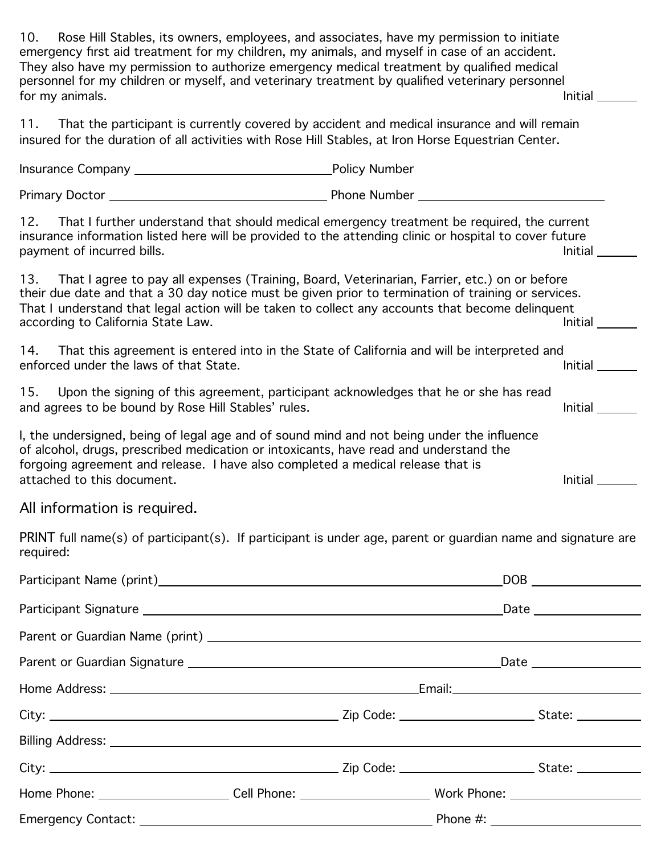10. Rose Hill Stables, its owners, employees, and associates, have my permission to initiate emergency first aid treatment for my children, my animals, and myself in case of an accident. They also have my permission to authorize emergency medical treatment by qualified medical personnel for my children or myself, and veterinary treatment by qualified veterinary personnel for my animals. Initial the state of the state of the state of the state of the state of the state of the state of the state of the state of the state of the state of the state of the state of the state of the state of the

11. That the participant is currently covered by accident and medical insurance and will remain insured for the duration of all activities with Rose Hill Stables, at Iron Horse Equestrian Center.

|                                                                                                                                                                                                                                                                                                                                                      | Policy Number  |
|------------------------------------------------------------------------------------------------------------------------------------------------------------------------------------------------------------------------------------------------------------------------------------------------------------------------------------------------------|----------------|
|                                                                                                                                                                                                                                                                                                                                                      |                |
| That I further understand that should medical emergency treatment be required, the current<br>12.<br>insurance information listed here will be provided to the attending clinic or hospital to cover future<br>payment of incurred bills.                                                                                                            | Initial        |
| That I agree to pay all expenses (Training, Board, Veterinarian, Farrier, etc.) on or before<br>13.<br>their due date and that a 30 day notice must be given prior to termination of training or services.<br>That I understand that legal action will be taken to collect any accounts that become delinquent<br>according to California State Law. | Initial        |
| That this agreement is entered into in the State of California and will be interpreted and<br>14.<br>enforced under the laws of that State.                                                                                                                                                                                                          | Initial        |
| 15.<br>Upon the signing of this agreement, participant acknowledges that he or she has read<br>and agrees to be bound by Rose Hill Stables' rules.                                                                                                                                                                                                   | <b>Initial</b> |
| I, the undersigned, being of legal age and of sound mind and not being under the influence<br>of alcohol, drugs, prescribed medication or intoxicants, have read and understand the<br>forgoing agreement and release. I have also completed a medical release that is<br>attached to this document.                                                 | Initial        |

All information is required.

PRINT full name(s) of participant(s). If participant is under age, parent or guardian name and signature are required:

| Home Phone: __________________________Cell Phone: _______________________________ Work Phone: ________________ |  |  |  |  |
|----------------------------------------------------------------------------------------------------------------|--|--|--|--|
|                                                                                                                |  |  |  |  |